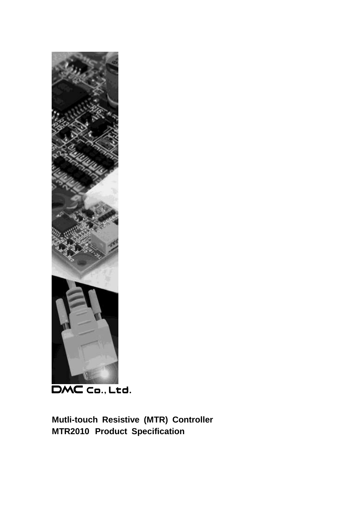

DMC Co., Ltd.

**Mutli-touch Resistive (MTR) Controller MTR2010 Product Specification**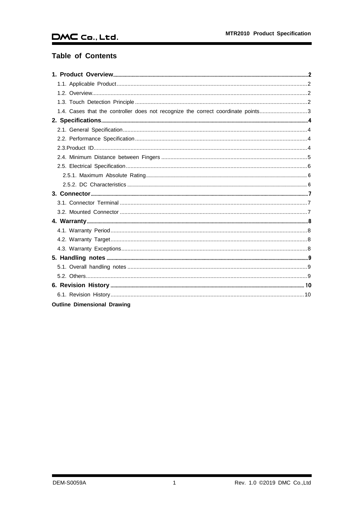# **Table of Contents**

| 1.4. Cases that the controller does not recognize the correct coordinate points3 |  |
|----------------------------------------------------------------------------------|--|
|                                                                                  |  |
|                                                                                  |  |
|                                                                                  |  |
|                                                                                  |  |
|                                                                                  |  |
|                                                                                  |  |
|                                                                                  |  |
|                                                                                  |  |
|                                                                                  |  |
|                                                                                  |  |
|                                                                                  |  |
|                                                                                  |  |
|                                                                                  |  |
|                                                                                  |  |
|                                                                                  |  |
|                                                                                  |  |
|                                                                                  |  |
|                                                                                  |  |
|                                                                                  |  |
|                                                                                  |  |
|                                                                                  |  |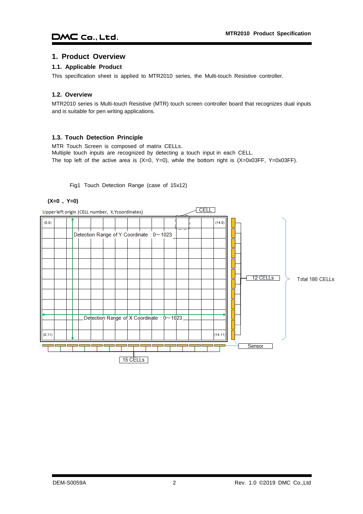## <span id="page-2-0"></span>**1. Product Overview**

#### <span id="page-2-1"></span>**1.1. Applicable Product**

This specification sheet is applied to MTR2010 series, the Multi-touch Resistive controller.

#### <span id="page-2-2"></span>**1.2. Overview**

MTR2010 series is Multi-touch Resistive (MTR) touch screen controller board that recognizes dual inputs and is suitable for pen writing applications.

#### <span id="page-2-3"></span>**1.3. Touch Detection Principle**

MTR Touch Screen is composed of matrix CELLs. Multiple touch inputs are recognized by detecting a touch input in each CELL. The top left of the active area is  $(X=0, Y=0)$ , while the bottom right is  $(X=0x03FF, Y=0x03FF)$ .

Fig1 Touch Detection Range (case of 15x12)

#### **(X=0 , Y=0)**

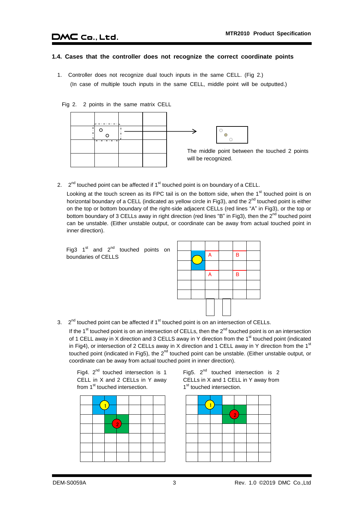# $DMC$  Co., Ltd.

#### <span id="page-3-0"></span>**1.4. Cases that the controller does not recognize the correct coordinate points**

1. Controller does not recognize dual touch inputs in the same CELL. (Fig 2.) (In case of multiple touch inputs in the same CELL, middle point will be outputted.)

Fig 2. 2 points in the same matrix CELL



2.  $2^{nd}$  touched point can be affected if  $1^{st}$  touched point is on boundary of a CELL.

Looking at the touch screen as its FPC tail is on the bottom side, when the 1<sup>st</sup> touched point is on horizontal boundary of a CELL (indicated as yellow circle in Fig3), and the 2<sup>nd</sup> touched point is either on the top or bottom boundary of the right-side adjacent CELLs (red lines "A" in Fig3), or the top or bottom boundary of 3 CELLs away in right direction (red lines "B" in Fig3), then the  $2^{nd}$  touched point can be unstable. (Either unstable output, or coordinate can be away from actual touched point in inner direction).

Fig3  $1<sup>st</sup>$  and  $2<sup>nd</sup>$  touched points on boundaries of CELLS



3.  $2<sup>nd</sup>$  touched point can be affected if  $1<sup>st</sup>$  touched point is on an intersection of CELLs.

If the 1<sup>st</sup> touched point is on an intersection of CELLs, then the  $2^{nd}$  touched point is on an intersection of 1 CELL away in X direction and 3 CELLS away in Y direction from the 1<sup>st</sup> touched point (indicated in Fig4), or intersection of 2 CELLs away in X direction and 1 CELL away in Y direction from the 1<sup>st</sup> touched point (indicated in Fig5), the  $2^{nd}$  touched point can be unstable. (Either unstable output, or coordinate can be away from actual touched point in inner direction).

Fig4.  $2^{nd}$  touched intersection is 1 CELL in X and 2 CELLs in Y away from 1<sup>st</sup> touched intersection.

|  | 2. |  |  |  |
|--|----|--|--|--|
|  |    |  |  |  |
|  |    |  |  |  |
|  |    |  |  |  |
|  |    |  |  |  |

Fig5.  $2<sup>nd</sup>$  touched intersection is 2 CELLs in X and 1 CELL in Y away from 1<sup>st</sup> touched intersection.

|  |  | 2 |  |
|--|--|---|--|
|  |  |   |  |
|  |  |   |  |
|  |  |   |  |
|  |  |   |  |
|  |  |   |  |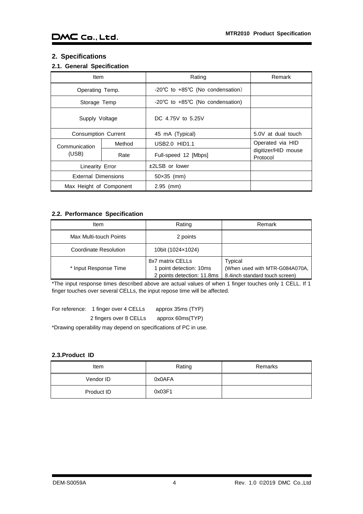# <span id="page-4-0"></span>**2. Specifications**

# <span id="page-4-1"></span>**2.1. General Specification**

| <b>Item</b>                |        | Rating                                               | Remark                          |
|----------------------------|--------|------------------------------------------------------|---------------------------------|
| Operating Temp.            |        | -20°C to +85°C (No condensation)                     |                                 |
| Storage Temp               |        | $-20^{\circ}$ C to $+85^{\circ}$ C (No condensation) |                                 |
| Supply Voltage             |        | DC 4.75V to 5.25V                                    |                                 |
| <b>Consumption Current</b> |        | 45 mA (Typical)                                      | 5.0V at dual touch              |
| Communication              | Method | USB2.0 HID1.1                                        | Operated via HID                |
| (USB)<br>Rate              |        | Full-speed 12 [Mbps]                                 | digitizer/HID mouse<br>Protocol |
| <b>Linearity Error</b>     |        | ±2LSB or lower                                       |                                 |
| <b>External Dimensions</b> |        | $50\times35$ (mm)                                    |                                 |
| Max Height of Component    |        | $2.95$ (mm)                                          |                                 |

## <span id="page-4-2"></span>**2.2. Performance Specification**

| Item                   | Rating                                                                    | Remark                                                                      |
|------------------------|---------------------------------------------------------------------------|-----------------------------------------------------------------------------|
| Max Multi-touch Points | 2 points                                                                  |                                                                             |
| Coordinate Resolution  | 10bit (1024×1024)                                                         |                                                                             |
| * Input Response Time  | 8x7 matrix CELLs<br>1 point detection: 10ms<br>2 points detection: 11.8ms | Typical<br>(When used with MTR-G084A070A,<br>8.4inch standard touch screen) |

\*The input response times described above are actual values of when 1 finger touches only 1 CELL. If 1 finger touches over several CELLs, the input repose time will be affected.

| For reference: 1 finger over 4 CELLs | approx 35ms (TYP) |
|--------------------------------------|-------------------|
| 2 fingers over 8 CELLs               | approx 60ms(TYP)  |

\*Drawing operability may depend on specifications of PC in use.

### <span id="page-4-3"></span>**2.3.Product ID**

| ltem       | Rating | Remarks |
|------------|--------|---------|
| Vendor ID  | 0x0AFA |         |
| Product ID | 0x03F1 |         |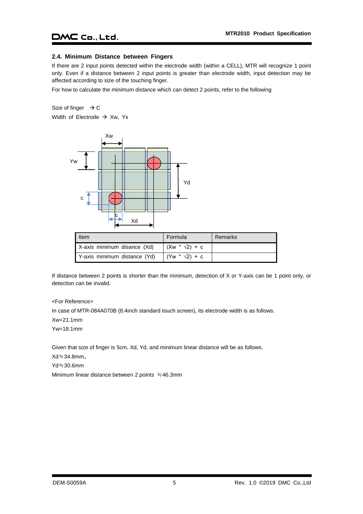#### <span id="page-5-0"></span>**2.4. Minimum Distance between Fingers**

If there are 2 input points detected within the electrode width (within a CELL), MTR will recognize 1 point only. Even if a distance between 2 input points is greater than electrode width, input detection may be affected according to size of the touching finger.

For how to calculate the minimum distance which can detect 2 points, refer to the following

Size of finger  $\rightarrow$  C

Width of Electrode  $\rightarrow$  Xw, Yx



| Item                         | Formula               | Remarks |
|------------------------------|-----------------------|---------|
| X-axis minimum disance (Xd)  | $(Xw * \sqrt{2}) + c$ |         |
| Y-axis minimum distance (Yd) | $(Yw * \sqrt{2}) + c$ |         |

If distance between 2 points is shorter than the minimum, detection of X or Y-axis can be 1 point only, or detection can be invalid.

<For Reference>

In case of MTR-084A070B (8.4inch standard touch screen), its electrode width is as follows.

Xw=21.1mm

Yw=18.1mm

Given that size of finger is 5cm, Xd, Yd, and minimum linear distance will be as follows.

Xd≒34.8mm、

Yd≒30.6mm

Minimum linear distance between 2 points ≒46.3mm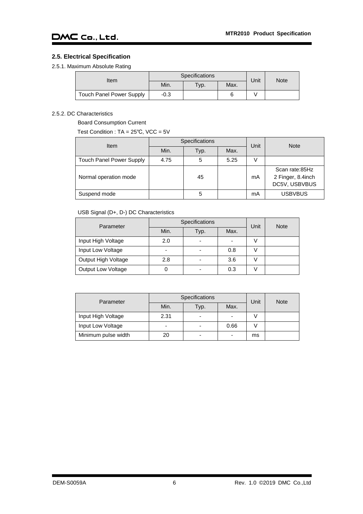## <span id="page-6-0"></span>**2.5. Electrical Specification**

<span id="page-6-1"></span>2.5.1. Maximum Absolute Rating

| Item                            |        | <b>Specifications</b>  | Unit | Note |  |
|---------------------------------|--------|------------------------|------|------|--|
|                                 | Min.   | $\tau_{\mathsf{VP}}$ . | Max. |      |  |
| <b>Touch Panel Power Supply</b> | $-0.3$ |                        |      |      |  |

### <span id="page-6-2"></span>2.5.2. DC Characteristics

Board Consumption Current

Test Condition : TA = 25℃, VCC = 5V

| <b>Item</b>                     |      | Specifications | Unit | <b>Note</b> |                                                      |  |
|---------------------------------|------|----------------|------|-------------|------------------------------------------------------|--|
|                                 | Min. | Typ.           | Max. |             |                                                      |  |
| <b>Touch Panel Power Supply</b> | 4.75 | 5              | 5.25 |             |                                                      |  |
| Normal operation mode           |      | 45             |      | mA          | Scan rate:85Hz<br>2 Finger, 8.4inch<br>DC5V, USBVBUS |  |
| Suspend mode                    |      | 5              |      | mA          | <b>USBVBUS</b>                                       |  |

## USB Signal (D+, D-) DC Characteristics

| Parameter                 |      | <b>Specifications</b> | Unit | <b>Note</b> |  |
|---------------------------|------|-----------------------|------|-------------|--|
|                           | Min. | Typ.                  | Max. |             |  |
| Input High Voltage        | 2.0  |                       |      |             |  |
| Input Low Voltage         | -    |                       | 0.8  |             |  |
| Output High Voltage       | 2.8  |                       | 3.6  |             |  |
| <b>Output Low Voltage</b> |      |                       | 0.3  |             |  |

| Parameter           |                          | Specifications           | Unit | <b>Note</b> |  |
|---------------------|--------------------------|--------------------------|------|-------------|--|
|                     | Min.                     | Typ.                     | Max. |             |  |
| Input High Voltage  | 2.31                     | $\overline{\phantom{0}}$ |      |             |  |
| Input Low Voltage   | $\overline{\phantom{0}}$ |                          | 0.66 |             |  |
| Minimum pulse width | 20                       | ۰                        |      | ms          |  |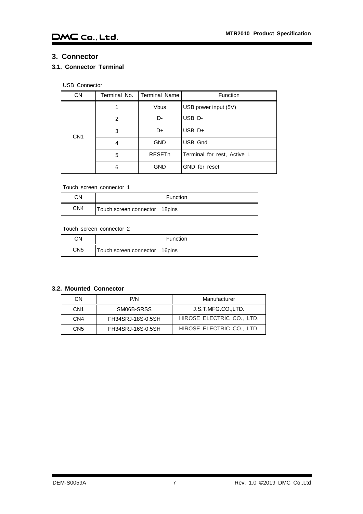# <span id="page-7-0"></span>**3. Connector**

# <span id="page-7-1"></span>**3.1. Connector Terminal**

# USB Connector

| <b>CN</b>       | Terminal No. | <b>Terminal Name</b> | <b>Function</b>             |
|-----------------|--------------|----------------------|-----------------------------|
| CN <sub>1</sub> |              | <b>Vbus</b>          | USB power input (5V)        |
|                 | 2            | D-                   | USB D-                      |
|                 | 3            | D+                   | $USB$ D+                    |
|                 | 4            | <b>GND</b>           | USB Gnd                     |
|                 | 5            | <b>RESETn</b>        | Terminal for rest, Active L |
|                 | 6            | <b>GND</b>           | GND for reset               |

#### Touch screen connector 1

| CΝ  | Function                       |  |
|-----|--------------------------------|--|
| CN4 | Touch screen connector 18 pins |  |

### Touch screen connector 2

| ٦N. | Function                      |  |
|-----|-------------------------------|--|
| CN5 | Touch screen connector 16pins |  |

### <span id="page-7-2"></span>**3.2. Mounted Connector**

| CN  | P/N               | Manufacturer              |
|-----|-------------------|---------------------------|
| CN1 | SM06B-SRSS        | J.S.T.MFG.CO.,LTD.        |
| CN4 | FH34SRJ-18S-0.5SH | HIROSE ELECTRIC CO., LTD. |
| CN5 | FH34SRJ-16S-0.5SH | HIROSE ELECTRIC CO., LTD. |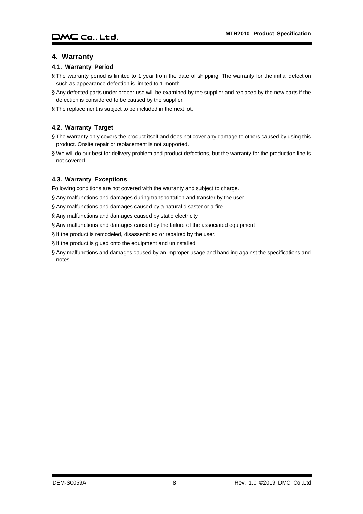# <span id="page-8-0"></span>**4. Warranty**

### <span id="page-8-1"></span>**4.1. Warranty Period**

- § The warranty period is limited to 1 year from the date of shipping. The warranty for the initial defection such as appearance defection is limited to 1 month.
- § Any defected parts under proper use will be examined by the supplier and replaced by the new parts if the defection is considered to be caused by the supplier.
- § The replacement is subject to be included in the next lot.

# <span id="page-8-2"></span>**4.2. Warranty Target**

- § The warranty only covers the product itself and does not cover any damage to others caused by using this product. Onsite repair or replacement is not supported.
- § We will do our best for delivery problem and product defections, but the warranty for the production line is not covered.

# <span id="page-8-3"></span>**4.3. Warranty Exceptions**

Following conditions are not covered with the warranty and subject to charge.

- § Any malfunctions and damages during transportation and transfer by the user.
- § Any malfunctions and damages caused by a natural disaster or a fire.
- § Any malfunctions and damages caused by static electricity
- § Any malfunctions and damages caused by the failure of the associated equipment.
- § If the product is remodeled, disassembled or repaired by the user.
- § If the product is glued onto the equipment and uninstalled.
- § Any malfunctions and damages caused by an improper usage and handling against the specifications and notes.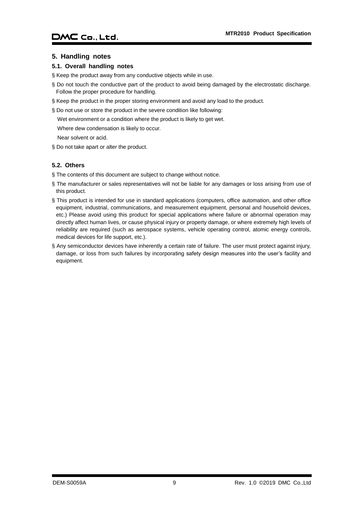### <span id="page-9-0"></span>**5. Handling notes**

### <span id="page-9-1"></span>**5.1. Overall handling notes**

§ Keep the product away from any conductive objects while in use.

- § Do not touch the conductive part of the product to avoid being damaged by the electrostatic discharge. Follow the proper procedure for handling.
- § Keep the product in the proper storing environment and avoid any load to the product.
- § Do not use or store the product in the severe condition like following:

Wet environment or a condition where the product is likely to get wet.

Where dew condensation is likely to occur.

Near solvent or acid.

§ Do not take apart or alter the product.

## <span id="page-9-2"></span>**5.2. Others**

- § The contents of this document are subject to change without notice.
- § The manufacturer or sales representatives will not be liable for any damages or loss arising from use of this product.
- § This product is intended for use in standard applications (computers, office automation, and other office equipment, industrial, communications, and measurement equipment, personal and household devices, etc.) Please avoid using this product for special applications where failure or abnormal operation may directly affect human lives, or cause physical injury or property damage, or where extremely high levels of reliability are required (such as aerospace systems, vehicle operating control, atomic energy controls, medical devices for life support, etc.).
- § Any semiconductor devices have inherently a certain rate of failure. The user must protect against injury, damage, or loss from such failures by incorporating safety design measures into the user's facility and equipment.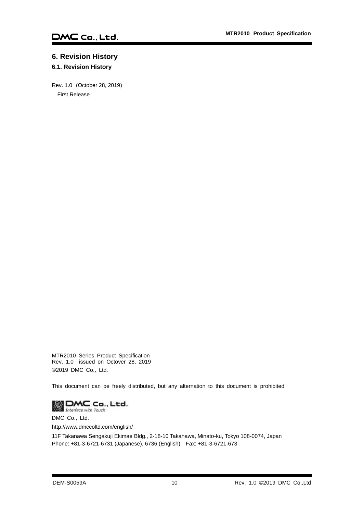# <span id="page-10-0"></span>**6. Revision History**

# <span id="page-10-1"></span>**6.1. Revision History**

Rev. 1.0 (October 28, 2019) First Release

MTR2010 Series Product Specification Rev. 1.0 issued on Octover 28, 2019 ©2019 DMC Co., Ltd.

This document can be freely distributed, but any alternation to this document is prohibited



DMC Co., Ltd.

http://www.dmccoltd.com/english/

11F Takanawa Sengakuji Ekimae Bldg., 2-18-10 Takanawa, Minato-ku, Tokyo 108-0074, Japan Phone: +81-3-6721-6731 (Japanese), 6736 (English) Fax: +81-3-6721-673